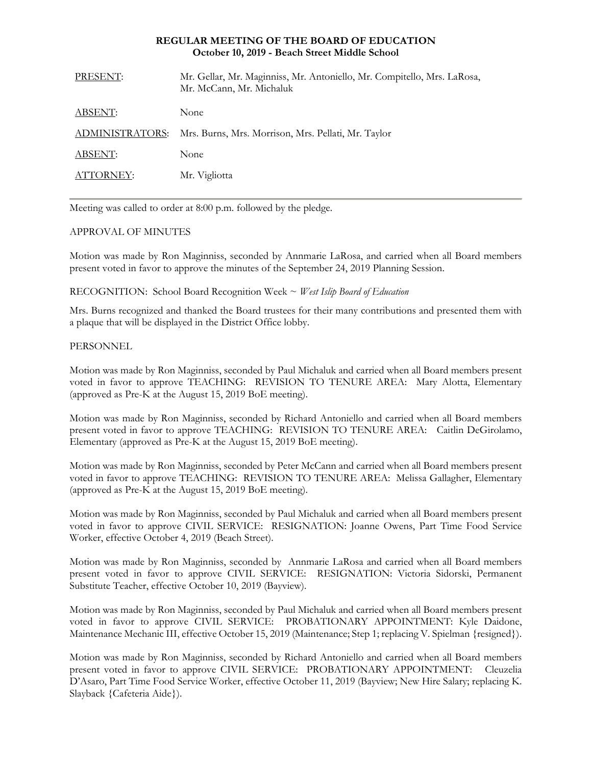## **REGULAR MEETING OF THE BOARD OF EDUCATION October 10, 2019 - Beach Street Middle School**

| PRESENT:        | Mr. Gellar, Mr. Maginniss, Mr. Antoniello, Mr. Compitello, Mrs. LaRosa,<br>Mr. McCann, Mr. Michaluk |
|-----------------|-----------------------------------------------------------------------------------------------------|
| ABSENT:         | None                                                                                                |
| ADMINISTRATORS: | Mrs. Burns, Mrs. Morrison, Mrs. Pellati, Mr. Taylor                                                 |
| ABSENT:         | None                                                                                                |
| ATTORNEY:       | Mr. Vigliotta                                                                                       |
|                 |                                                                                                     |

Meeting was called to order at 8:00 p.m. followed by the pledge.

# APPROVAL OF MINUTES

Motion was made by Ron Maginniss, seconded by Annmarie LaRosa, and carried when all Board members present voted in favor to approve the minutes of the September 24, 2019 Planning Session.

RECOGNITION: School Board Recognition Week ~ *West Islip Board of Education*

Mrs. Burns recognized and thanked the Board trustees for their many contributions and presented them with a plaque that will be displayed in the District Office lobby.

# PERSONNEL

Motion was made by Ron Maginniss, seconded by Paul Michaluk and carried when all Board members present voted in favor to approve TEACHING:REVISION TO TENURE AREA: Mary Alotta, Elementary (approved as Pre-K at the August 15, 2019 BoE meeting).

Motion was made by Ron Maginniss, seconded by Richard Antoniello and carried when all Board members present voted in favor to approve TEACHING:REVISION TO TENURE AREA: Caitlin DeGirolamo, Elementary (approved as Pre-K at the August 15, 2019 BoE meeting).

Motion was made by Ron Maginniss, seconded by Peter McCann and carried when all Board members present voted in favor to approve TEACHING: REVISION TO TENURE AREA: Melissa Gallagher, Elementary (approved as Pre-K at the August 15, 2019 BoE meeting).

Motion was made by Ron Maginniss, seconded by Paul Michaluk and carried when all Board members present voted in favor to approve CIVIL SERVICE:RESIGNATION: Joanne Owens, Part Time Food Service Worker, effective October 4, 2019 (Beach Street).

Motion was made by Ron Maginniss, seconded by Annmarie LaRosa and carried when all Board members present voted in favor to approve CIVIL SERVICE:RESIGNATION: Victoria Sidorski, Permanent Substitute Teacher, effective October 10, 2019 (Bayview).

Motion was made by Ron Maginniss, seconded by Paul Michaluk and carried when all Board members present voted in favor to approve CIVIL SERVICE:PROBATIONARY APPOINTMENT: Kyle Daidone, Maintenance Mechanic III, effective October 15, 2019 (Maintenance; Step 1; replacing V. Spielman {resigned}).

Motion was made by Ron Maginniss, seconded by Richard Antoniello and carried when all Board members present voted in favor to approve CIVIL SERVICE:PROBATIONARY APPOINTMENT: Cleuzelia D'Asaro, Part Time Food Service Worker, effective October 11, 2019 (Bayview; New Hire Salary; replacing K. Slayback {Cafeteria Aide}).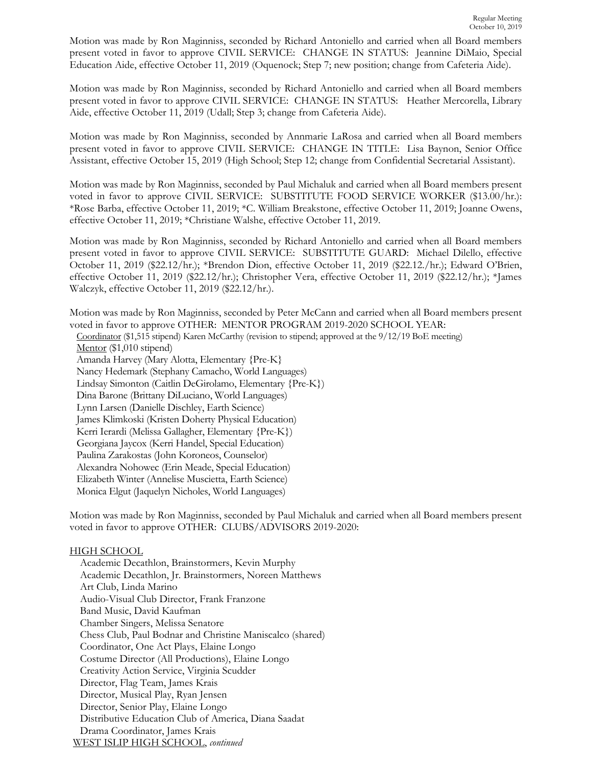Motion was made by Ron Maginniss, seconded by Richard Antoniello and carried when all Board members present voted in favor to approve CIVIL SERVICE:CHANGE IN STATUS:Jeannine DiMaio, Special Education Aide, effective October 11, 2019 (Oquenock; Step 7; new position; change from Cafeteria Aide).

Motion was made by Ron Maginniss, seconded by Richard Antoniello and carried when all Board members present voted in favor to approve CIVIL SERVICE:CHANGE IN STATUS:Heather Mercorella, Library Aide, effective October 11, 2019 (Udall; Step 3; change from Cafeteria Aide).

Motion was made by Ron Maginniss, seconded by Annmarie LaRosa and carried when all Board members present voted in favor to approve CIVIL SERVICE:CHANGE IN TITLE: Lisa Baynon, Senior Office Assistant, effective October 15, 2019 (High School; Step 12; change from Confidential Secretarial Assistant).

Motion was made by Ron Maginniss, seconded by Paul Michaluk and carried when all Board members present voted in favor to approve CIVIL SERVICE: SUBSTITUTE FOOD SERVICE WORKER (\$13.00/hr.): \*Rose Barba, effective October 11, 2019; \*C. William Breakstone, effective October 11, 2019; Joanne Owens, effective October 11, 2019; \*Christiane Walshe, effective October 11, 2019.

Motion was made by Ron Maginniss, seconded by Richard Antoniello and carried when all Board members present voted in favor to approve CIVIL SERVICE:SUBSTITUTE GUARD: Michael Dilello, effective October 11, 2019 (\$22.12/hr.); \*Brendon Dion, effective October 11, 2019 (\$22.12./hr.); Edward O'Brien, effective October 11, 2019 (\$22.12/hr.); Christopher Vera, effective October 11, 2019 (\$22.12/hr.); \*James Walczyk, effective October 11, 2019 (\$22.12/hr.).

Motion was made by Ron Maginniss, seconded by Peter McCann and carried when all Board members present voted in favor to approve OTHER: MENTOR PROGRAM 2019-2020 SCHOOL YEAR:

Coordinator (\$1,515 stipend) Karen McCarthy (revision to stipend; approved at the 9/12/19 BoE meeting) Mentor (\$1,010 stipend) Amanda Harvey (Mary Alotta, Elementary {Pre-K} Nancy Hedemark (Stephany Camacho, World Languages) Lindsay Simonton (Caitlin DeGirolamo, Elementary {Pre-K}) Dina Barone (Brittany DiLuciano, World Languages) Lynn Larsen (Danielle Dischley, Earth Science) James Klimkoski (Kristen Doherty Physical Education) Kerri Ierardi (Melissa Gallagher, Elementary {Pre-K}) Georgiana Jaycox (Kerri Handel, Special Education) Paulina Zarakostas (John Koroneos, Counselor) Alexandra Nohowec (Erin Meade, Special Education) Elizabeth Winter (Annelise Muscietta, Earth Science) Monica Elgut (Jaquelyn Nicholes, World Languages)

Motion was made by Ron Maginniss, seconded by Paul Michaluk and carried when all Board members present voted in favor to approve OTHER: CLUBS/ADVISORS 2019-2020:

# HIGH SCHOOL

Academic Decathlon, Brainstormers, Kevin Murphy Academic Decathlon, Jr. Brainstormers, Noreen Matthews Art Club, Linda Marino Audio-Visual Club Director, Frank Franzone Band Music, David Kaufman Chamber Singers, Melissa Senatore Chess Club, Paul Bodnar and Christine Maniscalco (shared) Coordinator, One Act Plays, Elaine Longo Costume Director (All Productions), Elaine Longo Creativity Action Service, Virginia Scudder Director, Flag Team, James Krais Director, Musical Play, Ryan Jensen Director, Senior Play, Elaine Longo Distributive Education Club of America, Diana Saadat Drama Coordinator, James Krais WEST ISLIP HIGH SCHOOL, *continued*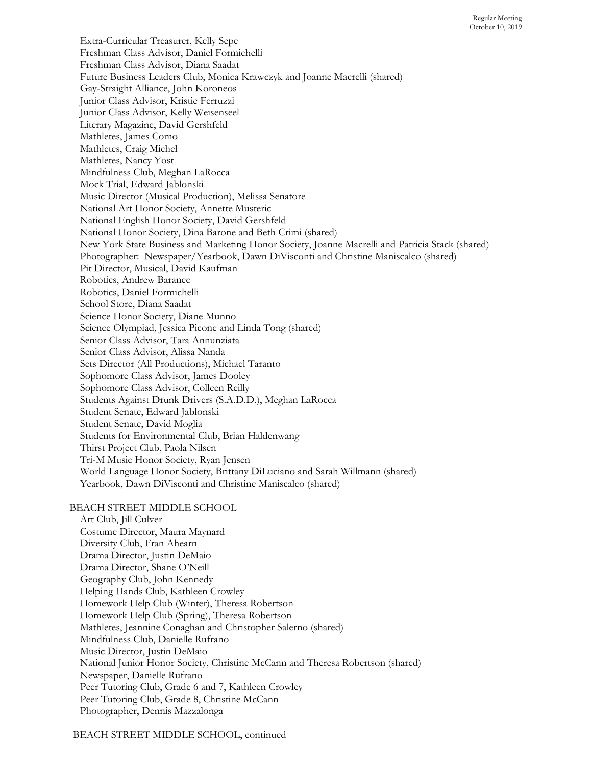Extra-Curricular Treasurer, Kelly Sepe Freshman Class Advisor, Daniel Formichelli Freshman Class Advisor, Diana Saadat Future Business Leaders Club, Monica Krawczyk and Joanne Macrelli (shared) Gay-Straight Alliance, John Koroneos Junior Class Advisor, Kristie Ferruzzi Junior Class Advisor, Kelly Weisenseel Literary Magazine, David Gershfeld Mathletes, James Como Mathletes, Craig Michel Mathletes, Nancy Yost Mindfulness Club, Meghan LaRocca Mock Trial, Edward Jablonski Music Director (Musical Production), Melissa Senatore National Art Honor Society, Annette Musteric National English Honor Society, David Gershfeld National Honor Society, Dina Barone and Beth Crimi (shared) New York State Business and Marketing Honor Society, Joanne Macrelli and Patricia Stack (shared) Photographer: Newspaper/Yearbook, Dawn DiVisconti and Christine Maniscalco (shared) Pit Director, Musical, David Kaufman Robotics, Andrew Baranec Robotics, Daniel Formichelli School Store, Diana Saadat Science Honor Society, Diane Munno Science Olympiad, Jessica Picone and Linda Tong (shared) Senior Class Advisor, Tara Annunziata Senior Class Advisor, Alissa Nanda Sets Director (All Productions), Michael Taranto Sophomore Class Advisor, James Dooley Sophomore Class Advisor, Colleen Reilly Students Against Drunk Drivers (S.A.D.D.), Meghan LaRocca Student Senate, Edward Jablonski Student Senate, David Moglia Students for Environmental Club, Brian Haldenwang Thirst Project Club, Paola Nilsen Tri-M Music Honor Society, Ryan Jensen World Language Honor Society, Brittany DiLuciano and Sarah Willmann (shared) Yearbook, Dawn DiVisconti and Christine Maniscalco (shared)

### BEACH STREET MIDDLE SCHOOL

Art Club, Jill Culver Costume Director, Maura Maynard Diversity Club, Fran Ahearn Drama Director, Justin DeMaio Drama Director, Shane O'Neill Geography Club, John Kennedy Helping Hands Club, Kathleen Crowley Homework Help Club (Winter), Theresa Robertson Homework Help Club (Spring), Theresa Robertson Mathletes, Jeannine Conaghan and Christopher Salerno (shared) Mindfulness Club, Danielle Rufrano Music Director, Justin DeMaio National Junior Honor Society, Christine McCann and Theresa Robertson (shared) Newspaper, Danielle Rufrano Peer Tutoring Club, Grade 6 and 7, Kathleen Crowley Peer Tutoring Club, Grade 8, Christine McCann Photographer, Dennis Mazzalonga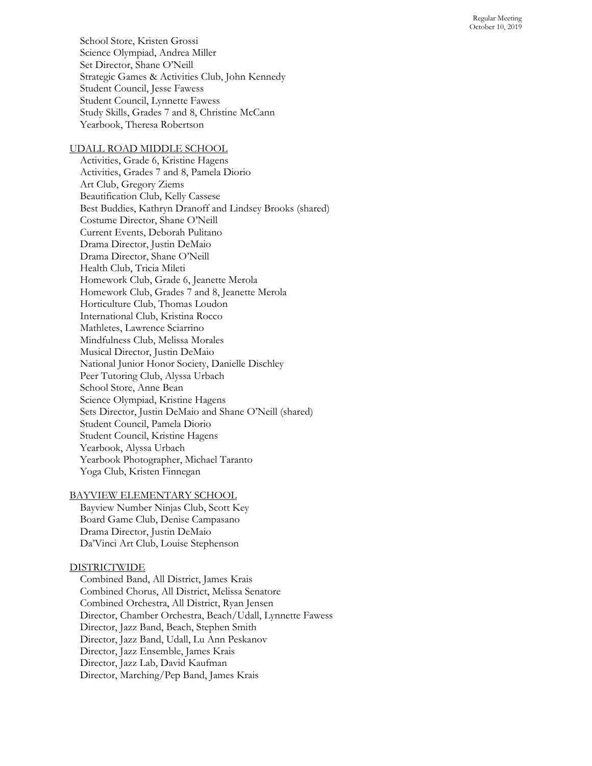School Store, Kristen Grossi Science Olympiad, Andrea Miller Set Director, Shane O'Neill Strategic Games & Activities Club, John Kennedy Student Council, Jesse Fawess Student Council, Lynnette Fawess Study Skills, Grades 7 and 8, Christine McCann Yearbook, Theresa Robertson

### UDALL ROAD MIDDLE SCHOOL

Activities, Grade 6, Kristine Hagens Activities, Grades 7 and 8, Pamela Diorio Art Club, Gregory Ziems Beautification Club, Kelly Cassese Best Buddies, Kathryn Dranoff and Lindsey Brooks (shared) Costume Director, Shane O'Neill Current Events, Deborah Pulitano Drama Director, Justin DeMaio Drama Director, Shane O'Neill Health Club, Tricia Mileti Homework Club, Grade 6, Jeanette Merola Homework Club, Grades 7 and 8, Jeanette Merola Horticulture Club, Thomas Loudon International Club, Kristina Rocco Mathletes, Lawrence Sciarrino Mindfulness Club, Melissa Morales Musical Director, Justin DeMaio National Junior Honor Society, Danielle Dischley Peer Tutoring Club, Alyssa Urbach School Store, Anne Bean Science Olympiad, Kristine Hagens Sets Director, Justin DeMaio and Shane O'Neill (shared) Student Council, Pamela Diorio Student Council, Kristine Hagens Yearbook, Alyssa Urbach Yearbook Photographer, Michael Taranto Yoga Club, Kristen Finnegan

#### BAYVIEW ELEMENTARY SCHOOL

Bayview Number Ninjas Club, Scott Key Board Game Club, Denise Campasano Drama Director, Justin DeMaio Da'Vinci Art Club, Louise Stephenson

#### DISTRICTWIDE

Combined Band, All District, James Krais Combined Chorus, All District, Melissa Senatore Combined Orchestra, All District, Ryan Jensen Director, Chamber Orchestra, Beach/Udall, Lyn nette Fawess Director, Jazz Band, Beach, Stephen Smith Director, Jazz Band, Udall, Lu Ann Peskanov Director, Jazz Ensemble, James Krais Director, Jazz Lab, David Kaufman Director, Marching/Pep Band, James Krais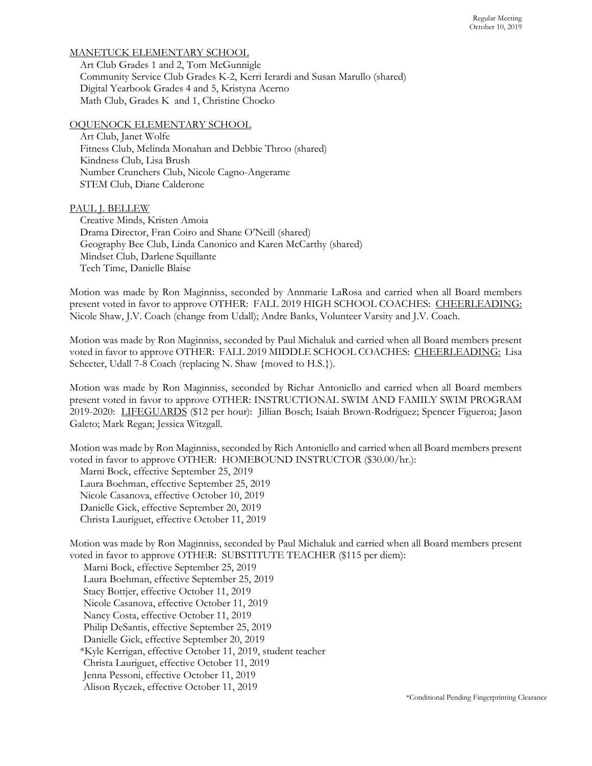# MANETUCK ELEMENTARY SCHOOL

Art Club Grades 1 and 2, Tom McGunnigle Community Service Club Grades K-2, Kerri Ierardi and Susan Marullo (shared) Digital Yearbook Grades 4 and 5, Kristyna Acerno Math Club, Grades K and 1, Christine Chocko

### OQUENOCK ELEMENTARY SCHOOL

Art Club, Janet Wolfe Fitness Club, Melinda Monahan and Debbie Throo (shared) Kindness Club, Lisa Brush Number Crunchers Club, Nicole Cagno-Angerame STEM Club, Diane Calderone

PAUL J. BELLEW

Creative Minds, Kristen Amoia Drama Director, Fran Coiro and Shane O'Neill (shared) Geography Bee Club, Linda Canonico and Karen McCarthy (shared) Mindset Club, Darlene Squillante Tech Time, Danielle Blaise

Motion was made by Ron Maginniss, seconded by Annmarie LaRosa and carried when all Board members present voted in favor to approve OTHER: FALL 2019 HIGH SCHOOL COACHES: CHEERLEADING: Nicole Shaw, J.V. Coach (change from Udall); Andre Banks, Volunteer Varsity and J.V. Coach.

Motion was made by Ron Maginniss, seconded by Paul Michaluk and carried when all Board members present voted in favor to approve OTHER: FALL 2019 MIDDLE SCHOOL COACHES: CHEERLEADING: Lisa Schecter, Udall 7-8 Coach (replacing N. Shaw {moved to H.S.}).

Motion was made by Ron Maginniss, seconded by Richar Antoniello and carried when all Board members present voted in favor to approve OTHER: INSTRUCTIONAL SWIM AND FAMILY SWIM PROGRAM 2019-2020: LIFEGUARDS (\$12 per hour): Jillian Bosch; Isaiah Brown-Rodriguez; Spencer Figueroa; Jason Galeto; Mark Regan; Jessica Witzgall.

Motion was made by Ron Maginniss, seconded by Rich Antoniello and carried when all Board members present voted in favor to approve OTHER: HOMEBOUND INSTRUCTOR (\$30.00/hr.):

Marni Bock, effective September 25, 2019 Laura Boehman, effective September 25, 2019 Nicole Casanova, effective October 10, 2019 Danielle Gick, effective September 20, 2019 Christa Lauriguet, effective October 11, 2019

Motion was made by Ron Maginniss, seconded by Paul Michaluk and carried when all Board members present voted in favor to approve OTHER: SUBSTITUTE TEACHER (\$115 per diem):

Marni Bock, effective September 25, 2019 Laura Boehman, effective September 25, 2019 Stacy Bottjer, effective October 11, 2019 Nicole Casanova, effective October 11, 2019 Nancy Costa, effective October 11, 2019 Philip DeSantis, effective September 25, 2019 Danielle Gick, effective September 20, 2019 \*Kyle Kerrigan, effective October 11, 2019, student teacher Christa Lauriguet, effective October 11, 2019 Jenna Pessoni, effective October 11, 2019 Alison Ryczek, effective October 11, 2019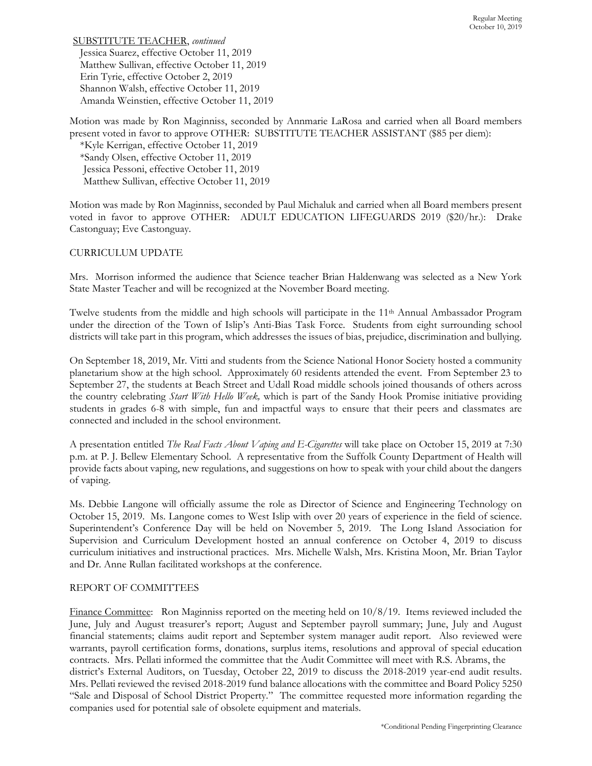SUBSTITUTE TEACHER, *continued* Jessica Suarez, effective October 11, 2019 Matthew Sullivan, effective October 11, 2019 Erin Tyrie, effective October 2, 2019 Shannon Walsh, effective October 11, 2019 Amanda Weinstien, effective October 11, 2019

Motion was made by Ron Maginniss, seconded by Annmarie LaRosa and carried when all Board members present voted in favor to approve OTHER: SUBSTITUTE TEACHER ASSISTANT (\$85 per diem):

\*Kyle Kerrigan, effective October 11, 2019 \*Sandy Olsen, effective October 11, 2019 Jessica Pessoni, effective October 11, 2019 Matthew Sullivan, effective October 11, 2019

Motion was made by Ron Maginniss, seconded by Paul Michaluk and carried when all Board members present voted in favor to approve OTHER: ADULT EDUCATION LIFEGUARDS 2019 (\$20/hr.): Drake Castonguay; Eve Castonguay.

# CURRICULUM UPDATE

Mrs. Morrison informed the audience that Science teacher Brian Haldenwang was selected as a New York State Master Teacher and will be recognized at the November Board meeting.

Twelve students from the middle and high schools will participate in the 11<sup>th</sup> Annual Ambassador Program under the direction of the Town of Islip's Anti-Bias Task Force. Students from eight surrounding school districts will take part in this program, which addresses the issues of bias, prejudice, discrimination and bullying.

On September 18, 2019, Mr. Vitti and students from the Science National Honor Society hosted a community planetarium show at the high school. Approximately 60 residents attended the event. From September 23 to September 27, the students at Beach Street and Udall Road middle schools joined thousands of others across the country celebrating *Start With Hello Week,* which is part of the Sandy Hook Promise initiative providing students in grades 6-8 with simple, fun and impactful ways to ensure that their peers and classmates are connected and included in the school environment.

A presentation entitled *The Real Facts About Vaping and E-Cigarettes* will take place on October 15, 2019 at 7:30 p.m. at P. J. Bellew Elementary School. A representative from the Suffolk County Department of Health will provide facts about vaping, new regulations, and suggestions on how to speak with your child about the dangers of vaping.

Ms. Debbie Langone will officially assume the role as Director of Science and Engineering Technology on October 15, 2019. Ms. Langone comes to West Islip with over 20 years of experience in the field of science. Superintendent's Conference Day will be held on November 5, 2019. The Long Island Association for Supervision and Curriculum Development hosted an annual conference on October 4, 2019 to discuss curriculum initiatives and instructional practices. Mrs. Michelle Walsh, Mrs. Kristina Moon, Mr. Brian Taylor and Dr. Anne Rullan facilitated workshops at the conference.

### REPORT OF COMMITTEES

Finance Committee: Ron Maginniss reported on the meeting held on 10/8/19. Items reviewed included the June, July and August treasurer's report; August and September payroll summary; June, July and August financial statements; claims audit report and September system manager audit report. Also reviewed were warrants, payroll certification forms, donations, surplus items, resolutions and approval of special education contracts. Mrs. Pellati informed the committee that the Audit Committee will meet with R.S. Abrams, the district's External Auditors, on Tuesday, October 22, 2019 to discuss the 2018-2019 year-end audit results. Mrs. Pellati reviewed the revised 2018-2019 fund balance allocations with the committee and Board Policy 5250 "Sale and Disposal of School District Property." The committee requested more information regarding the companies used for potential sale of obsolete equipment and materials.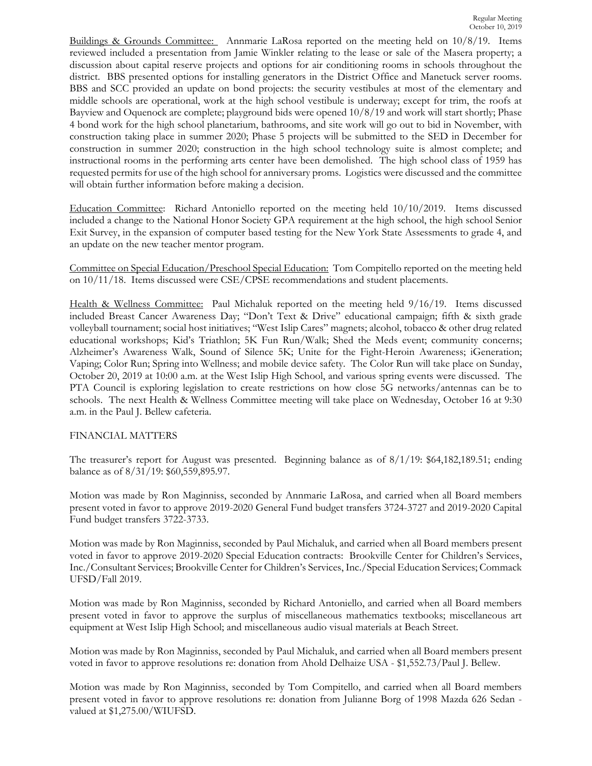Buildings & Grounds Committee: Annmarie LaRosa reported on the meeting held on 10/8/19. Items reviewed included a presentation from Jamie Winkler relating to the lease or sale of the Masera property; a discussion about capital reserve projects and options for air conditioning rooms in schools throughout the district. BBS presented options for installing generators in the District Office and Manetuck server rooms. BBS and SCC provided an update on bond projects: the security vestibules at most of the elementary and middle schools are operational, work at the high school vestibule is underway; except for trim, the roofs at Bayview and Oquenock are complete; playground bids were opened 10/8/19 and work will start shortly; Phase 4 bond work for the high school planetarium, bathrooms, and site work will go out to bid in November, with construction taking place in summer 2020; Phase 5 projects will be submitted to the SED in December for construction in summer 2020; construction in the high school technology suite is almost complete; and instructional rooms in the performing arts center have been demolished. The high school class of 1959 has requested permits for use of the high school for anniversary proms. Logistics were discussed and the committee will obtain further information before making a decision.

Education Committee: Richard Antoniello reported on the meeting held 10/10/2019. Items discussed included a change to the National Honor Society GPA requirement at the high school, the high school Senior Exit Survey, in the expansion of computer based testing for the New York State Assessments to grade 4, and an update on the new teacher mentor program.

Committee on Special Education/Preschool Special Education: Tom Compitello reported on the meeting held on 10/11/18. Items discussed were CSE/CPSE recommendations and student placements.

Health & Wellness Committee: Paul Michaluk reported on the meeting held 9/16/19. Items discussed included Breast Cancer Awareness Day; "Don't Text & Drive" educational campaign; fifth & sixth grade volleyball tournament; social host initiatives; "West Islip Cares" magnets; alcohol, tobacco & other drug related educational workshops; Kid's Triathlon; 5K Fun Run/Walk; Shed the Meds event; community concerns; Alzheimer's Awareness Walk, Sound of Silence 5K; Unite for the Fight-Heroin Awareness; iGeneration; Vaping; Color Run; Spring into Wellness; and mobile device safety. The Color Run will take place on Sunday, October 20, 2019 at 10:00 a.m. at the West Islip High School, and various spring events were discussed. The PTA Council is exploring legislation to create restrictions on how close 5G networks/antennas can be to schools. The next Health & Wellness Committee meeting will take place on Wednesday, October 16 at 9:30 a.m. in the Paul J. Bellew cafeteria.

# FINANCIAL MATTERS

The treasurer's report for August was presented. Beginning balance as of 8/1/19: \$64,182,189.51; ending balance as of 8/31/19: \$60,559,895.97.

Motion was made by Ron Maginniss, seconded by Annmarie LaRosa, and carried when all Board members present voted in favor to approve 2019-2020 General Fund budget transfers 3724-3727 and 2019-2020 Capital Fund budget transfers 3722-3733.

Motion was made by Ron Maginniss, seconded by Paul Michaluk, and carried when all Board members present voted in favor to approve 2019-2020 Special Education contracts: Brookville Center for Children's Services, Inc./Consultant Services; Brookville Center for Children's Services, Inc./Special Education Services; Commack UFSD/Fall 2019.

Motion was made by Ron Maginniss, seconded by Richard Antoniello, and carried when all Board members present voted in favor to approve the surplus of miscellaneous mathematics textbooks; miscellaneous art equipment at West Islip High School; and miscellaneous audio visual materials at Beach Street.

Motion was made by Ron Maginniss, seconded by Paul Michaluk, and carried when all Board members present voted in favor to approve resolutions re: donation from Ahold Delhaize USA - \$1,552.73/Paul J. Bellew.

Motion was made by Ron Maginniss, seconded by Tom Compitello, and carried when all Board members present voted in favor to approve resolutions re: donation from Julianne Borg of 1998 Mazda 626 Sedan valued at \$1,275.00/WIUFSD.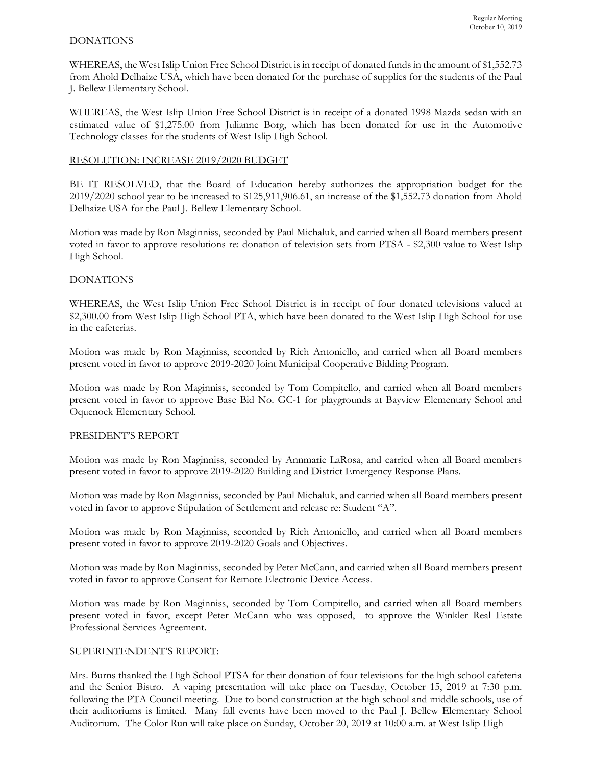## DONATIONS

WHEREAS, the West Islip Union Free School District is in receipt of donated funds in the amount of \$1,552.73 from Ahold Delhaize USA, which have been donated for the purchase of supplies for the students of the Paul J. Bellew Elementary School.

WHEREAS, the West Islip Union Free School District is in receipt of a donated 1998 Mazda sedan with an estimated value of \$1,275.00 from Julianne Borg, which has been donated for use in the Automotive Technology classes for the students of West Islip High School.

## RESOLUTION: INCREASE 2019/2020 BUDGET

BE IT RESOLVED, that the Board of Education hereby authorizes the appropriation budget for the 2019/2020 school year to be increased to \$125,911,906.61, an increase of the \$1,552.73 donation from Ahold Delhaize USA for the Paul J. Bellew Elementary School.

Motion was made by Ron Maginniss, seconded by Paul Michaluk, and carried when all Board members present voted in favor to approve resolutions re: donation of television sets from PTSA - \$2,300 value to West Islip High School.

# DONATIONS

WHEREAS, the West Islip Union Free School District is in receipt of four donated televisions valued at \$2,300.00 from West Islip High School PTA, which have been donated to the West Islip High School for use in the cafeterias.

Motion was made by Ron Maginniss, seconded by Rich Antoniello, and carried when all Board members present voted in favor to approve 2019-2020 Joint Municipal Cooperative Bidding Program.

Motion was made by Ron Maginniss, seconded by Tom Compitello, and carried when all Board members present voted in favor to approve Base Bid No. GC-1 for playgrounds at Bayview Elementary School and Oquenock Elementary School.

### PRESIDENT'S REPORT

Motion was made by Ron Maginniss, seconded by Annmarie LaRosa, and carried when all Board members present voted in favor to approve 2019-2020 Building and District Emergency Response Plans.

Motion was made by Ron Maginniss, seconded by Paul Michaluk, and carried when all Board members present voted in favor to approve Stipulation of Settlement and release re: Student "A".

Motion was made by Ron Maginniss, seconded by Rich Antoniello, and carried when all Board members present voted in favor to approve 2019-2020 Goals and Objectives.

Motion was made by Ron Maginniss, seconded by Peter McCann, and carried when all Board members present voted in favor to approve Consent for Remote Electronic Device Access.

Motion was made by Ron Maginniss, seconded by Tom Compitello, and carried when all Board members present voted in favor, except Peter McCann who was opposed, to approve the Winkler Real Estate Professional Services Agreement.

### SUPERINTENDENT'S REPORT:

Mrs. Burns thanked the High School PTSA for their donation of four televisions for the high school cafeteria and the Senior Bistro. A vaping presentation will take place on Tuesday, October 15, 2019 at 7:30 p.m. following the PTA Council meeting. Due to bond construction at the high school and middle schools, use of their auditoriums is limited. Many fall events have been moved to the Paul J. Bellew Elementary School Auditorium. The Color Run will take place on Sunday, October 20, 2019 at 10:00 a.m. at West Islip High